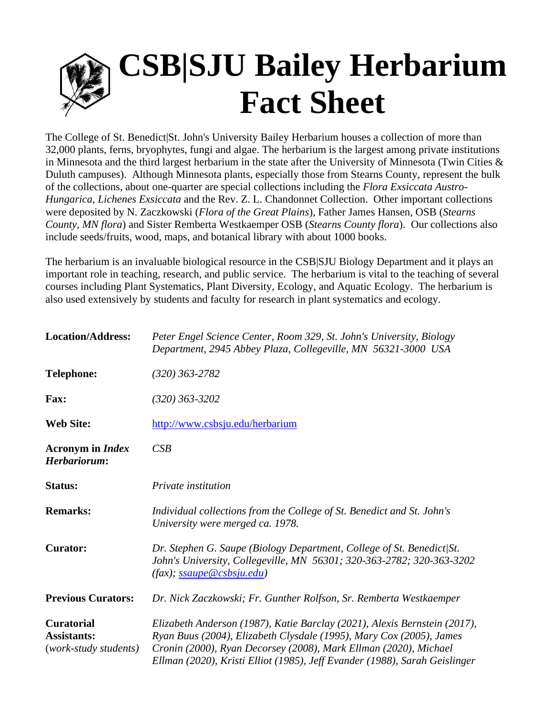## **CSB|SJU Bailey Herbarium Fact Sheet**

The College of St. Benedict|St. John's University Bailey Herbarium houses a collection of more than 32,000 plants, ferns, bryophytes, fungi and algae. The herbarium is the largest among private institutions in Minnesota and the third largest herbarium in the state after the University of Minnesota (Twin Cities & Duluth campuses). Although Minnesota plants, especially those from Stearns County, represent the bulk of the collections, about one-quarter are special collections including the *Flora Exsiccata Austro-Hungarica*, *Lichenes Exsiccata* and the Rev. Z. L. Chandonnet Collection. Other important collections were deposited by N. Zaczkowski (*Flora of the Great Plains*), Father James Hansen, OSB (*Stearns County, MN flora*) and Sister Remberta Westkaemper OSB (*Stearns County flora*). Our collections also include seeds/fruits, wood, maps, and botanical library with about 1000 books.

The herbarium is an invaluable biological resource in the CSB|SJU Biology Department and it plays an important role in teaching, research, and public service. The herbarium is vital to the teaching of several courses including Plant Systematics, Plant Diversity, Ecology, and Aquatic Ecology. The herbarium is also used extensively by students and faculty for research in plant systematics and ecology.

| <b>Location/Address:</b>                                         | Peter Engel Science Center, Room 329, St. John's University, Biology<br>Department, 2945 Abbey Plaza, Collegeville, MN 56321-3000 USA                                                                                                                                                              |
|------------------------------------------------------------------|----------------------------------------------------------------------------------------------------------------------------------------------------------------------------------------------------------------------------------------------------------------------------------------------------|
| <b>Telephone:</b>                                                | $(320)$ 363-2782                                                                                                                                                                                                                                                                                   |
| Fax:                                                             | $(320)$ 363-3202                                                                                                                                                                                                                                                                                   |
| <b>Web Site:</b>                                                 | http://www.csbsju.edu/herbarium                                                                                                                                                                                                                                                                    |
| <b>Acronym</b> in <i>Index</i><br>Herbariorum:                   | CSB                                                                                                                                                                                                                                                                                                |
| Status:                                                          | Private institution                                                                                                                                                                                                                                                                                |
| <b>Remarks:</b>                                                  | Individual collections from the College of St. Benedict and St. John's<br>University were merged ca. 1978.                                                                                                                                                                                         |
| <b>Curator:</b>                                                  | Dr. Stephen G. Saupe (Biology Department, College of St. Benedict/St.<br>John's University, Collegeville, MN 56301; 320-363-2782; 320-363-3202                                                                                                                                                     |
| <b>Previous Curators:</b>                                        | Dr. Nick Zaczkowski; Fr. Gunther Rolfson, Sr. Remberta Westkaemper                                                                                                                                                                                                                                 |
| <b>Curatorial</b><br><b>Assistants:</b><br>(work-study students) | Elizabeth Anderson (1987), Katie Barclay (2021), Alexis Bernstein (2017),<br>Ryan Buus (2004), Elizabeth Clysdale (1995), Mary Cox (2005), James<br>Cronin (2000), Ryan Decorsey (2008), Mark Ellman (2020), Michael<br>Ellman (2020), Kristi Elliot (1985), Jeff Evander (1988), Sarah Geislinger |